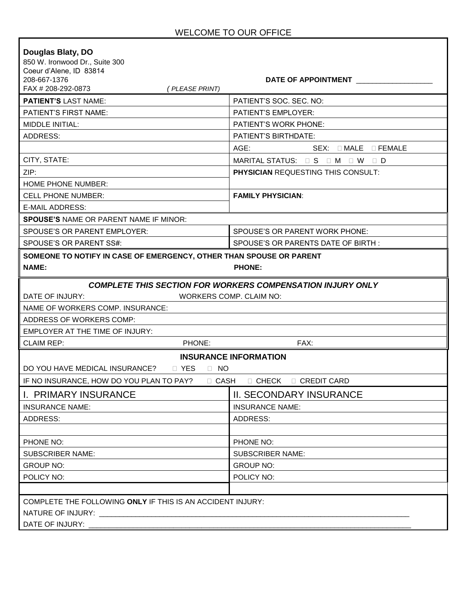٦

| Douglas Blaty, DO<br>850 W. Ironwood Dr., Suite 300<br>Coeur d'Alene, ID 83814<br>208-667-1376<br>FAX # 208-292-0873<br>(PLEASE PRINT) | DATE OF APPOINTMENT                                 |  |  |  |
|----------------------------------------------------------------------------------------------------------------------------------------|-----------------------------------------------------|--|--|--|
| <b>PATIENT'S LAST NAME:</b>                                                                                                            | PATIENT'S SOC. SEC. NO:                             |  |  |  |
| <b>PATIENT'S FIRST NAME:</b>                                                                                                           | <b>PATIENT'S EMPLOYER:</b>                          |  |  |  |
| <b>MIDDLE INITIAL:</b>                                                                                                                 | <b>PATIENT'S WORK PHONE:</b>                        |  |  |  |
| ADDRESS:                                                                                                                               | <b>PATIENT'S BIRTHDATE:</b>                         |  |  |  |
|                                                                                                                                        | AGE:<br>$SEX: \square$ MALE $\square$ FEMALE        |  |  |  |
| CITY, STATE:                                                                                                                           | MARITAL STATUS: $\Box$ S $\Box$ M $\Box$ W $\Box$ D |  |  |  |
| ZIP:                                                                                                                                   | <b>PHYSICIAN REQUESTING THIS CONSULT:</b>           |  |  |  |
| <b>HOME PHONE NUMBER:</b>                                                                                                              |                                                     |  |  |  |
| <b>CELL PHONE NUMBER:</b>                                                                                                              | <b>FAMILY PHYSICIAN:</b>                            |  |  |  |
| E-MAIL ADDRESS:                                                                                                                        |                                                     |  |  |  |
| <b>SPOUSE'S NAME OR PARENT NAME IF MINOR:</b>                                                                                          |                                                     |  |  |  |
| SPOUSE'S OR PARENT EMPLOYER:                                                                                                           | SPOUSE'S OR PARENT WORK PHONE:                      |  |  |  |
| SPOUSE'S OR PARENT SS#:                                                                                                                | SPOUSE'S OR PARENTS DATE OF BIRTH:                  |  |  |  |
| SOMEONE TO NOTIFY IN CASE OF EMERGENCY, OTHER THAN SPOUSE OR PARENT<br><b>NAME:</b><br><b>PHONE:</b>                                   |                                                     |  |  |  |
| <b>COMPLETE THIS SECTION FOR WORKERS COMPENSATION INJURY ONLY</b><br>DATE OF INJURY:<br>WORKERS COMP. CLAIM NO:                        |                                                     |  |  |  |
| NAME OF WORKERS COMP. INSURANCE:                                                                                                       |                                                     |  |  |  |
| ADDRESS OF WORKERS COMP:                                                                                                               |                                                     |  |  |  |
| EMPLOYER AT THE TIME OF INJURY:                                                                                                        |                                                     |  |  |  |
| PHONE:<br><b>CLAIM REP:</b>                                                                                                            | FAX:                                                |  |  |  |
| <b>INSURANCE INFORMATION</b><br>DO YOU HAVE MEDICAL INSURANCE? <b>IF YES</b><br>$\Box$ NO                                              |                                                     |  |  |  |
| IF NO INSURANCE, HOW DO YOU PLAN TO PAY?<br>$\Box$ CASH                                                                                | $\Box$ CHECK $\Box$ CREDIT CARD                     |  |  |  |
| <b>I. PRIMARY INSURANCE</b>                                                                                                            | <b>II. SECONDARY INSURANCE</b>                      |  |  |  |
| <b>INSURANCE NAME:</b>                                                                                                                 | <b>INSURANCE NAME:</b>                              |  |  |  |
| ADDRESS:                                                                                                                               | ADDRESS:                                            |  |  |  |
| PHONE NO:                                                                                                                              | PHONE NO:                                           |  |  |  |
| <b>SUBSCRIBER NAME:</b>                                                                                                                | <b>SUBSCRIBER NAME:</b>                             |  |  |  |
| <b>GROUP NO:</b>                                                                                                                       | <b>GROUP NO:</b>                                    |  |  |  |
| POLICY NO:                                                                                                                             | POLICY NO:                                          |  |  |  |
|                                                                                                                                        |                                                     |  |  |  |
| COMPLETE THE FOLLOWING ONLY IF THIS IS AN ACCIDENT INJURY:<br>DATE OF INJURY:                                                          |                                                     |  |  |  |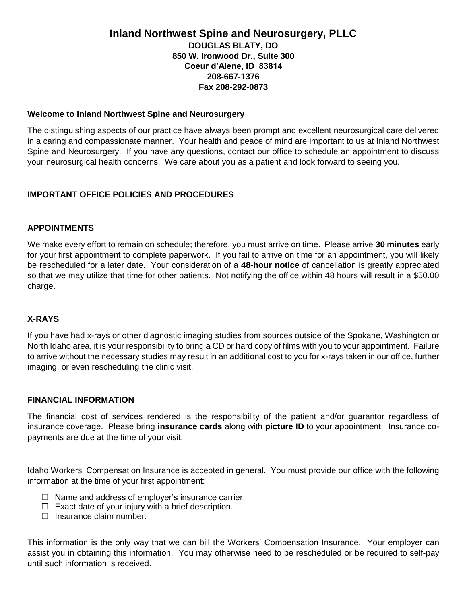# **Inland Northwest Spine and Neurosurgery, PLLC DOUGLAS BLATY, DO 850 W. Ironwood Dr., Suite 300 Coeur d'Alene, ID 83814 208-667-1376 Fax 208-292-0873**

### **Welcome to Inland Northwest Spine and Neurosurgery**

The distinguishing aspects of our practice have always been prompt and excellent neurosurgical care delivered in a caring and compassionate manner. Your health and peace of mind are important to us at Inland Northwest Spine and Neurosurgery. If you have any questions, contact our office to schedule an appointment to discuss your neurosurgical health concerns. We care about you as a patient and look forward to seeing you.

# **IMPORTANT OFFICE POLICIES AND PROCEDURES**

### **APPOINTMENTS**

We make every effort to remain on schedule; therefore, you must arrive on time. Please arrive **30 minutes** early for your first appointment to complete paperwork. If you fail to arrive on time for an appointment, you will likely be rescheduled for a later date. Your consideration of a **48-hour notice** of cancellation is greatly appreciated so that we may utilize that time for other patients. Not notifying the office within 48 hours will result in a \$50.00 charge.

## **X-RAYS**

If you have had x-rays or other diagnostic imaging studies from sources outside of the Spokane, Washington or North Idaho area, it is your responsibility to bring a CD or hard copy of films with you to your appointment. Failure to arrive without the necessary studies may result in an additional cost to you for x-rays taken in our office, further imaging, or even rescheduling the clinic visit.

## **FINANCIAL INFORMATION**

The financial cost of services rendered is the responsibility of the patient and/or guarantor regardless of insurance coverage. Please bring **insurance cards** along with **picture ID** to your appointment. Insurance copayments are due at the time of your visit.

Idaho Workers' Compensation Insurance is accepted in general. You must provide our office with the following information at the time of your first appointment:

- $\Box$  Name and address of employer's insurance carrier.
- $\Box$  Exact date of your injury with a brief description.
- $\Box$  Insurance claim number.

This information is the only way that we can bill the Workers' Compensation Insurance. Your employer can assist you in obtaining this information. You may otherwise need to be rescheduled or be required to self-pay until such information is received.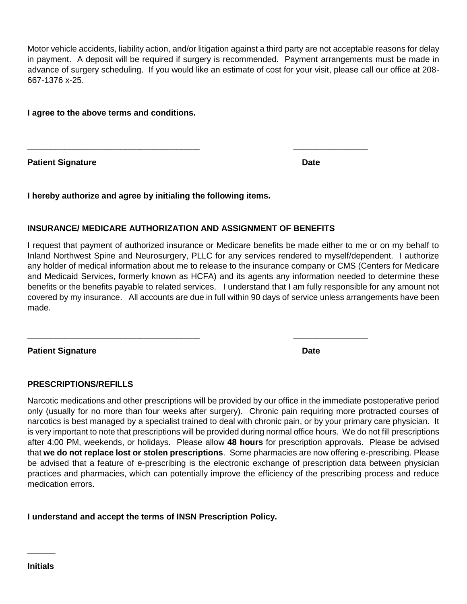Motor vehicle accidents, liability action, and/or litigation against a third party are not acceptable reasons for delay in payment. A deposit will be required if surgery is recommended. Payment arrangements must be made in advance of surgery scheduling. If you would like an estimate of cost for your visit, please call our office at 208- 667-1376 x-25.

**I agree to the above terms and conditions.**

**Patient Signature Date**

**I hereby authorize and agree by initialing the following items.**

# **INSURANCE/ MEDICARE AUTHORIZATION AND ASSIGNMENT OF BENEFITS**

**\_\_\_\_\_\_\_\_\_\_\_\_\_\_\_\_\_\_\_\_\_\_\_\_\_\_\_\_\_\_\_\_\_\_\_\_\_ \_\_\_\_\_\_\_\_\_\_\_\_\_\_\_\_**

**\_\_\_\_\_\_\_\_\_\_\_\_\_\_\_\_\_\_\_\_\_\_\_\_\_\_\_\_\_\_\_\_\_\_\_\_\_ \_\_\_\_\_\_\_\_\_\_\_\_\_\_\_\_**

I request that payment of authorized insurance or Medicare benefits be made either to me or on my behalf to Inland Northwest Spine and Neurosurgery, PLLC for any services rendered to myself/dependent. I authorize any holder of medical information about me to release to the insurance company or CMS (Centers for Medicare and Medicaid Services, formerly known as HCFA) and its agents any information needed to determine these benefits or the benefits payable to related services. I understand that I am fully responsible for any amount not covered by my insurance. All accounts are due in full within 90 days of service unless arrangements have been made.

**Patient Signature Date**

## **PRESCRIPTIONS/REFILLS**

Narcotic medications and other prescriptions will be provided by our office in the immediate postoperative period only (usually for no more than four weeks after surgery). Chronic pain requiring more protracted courses of narcotics is best managed by a specialist trained to deal with chronic pain, or by your primary care physician. It is very important to note that prescriptions will be provided during normal office hours. We do not fill prescriptions after 4:00 PM, weekends, or holidays. Please allow **48 hours** for prescription approvals. Please be advised that **we do not replace lost or stolen prescriptions**. Some pharmacies are now offering e-prescribing. Please be advised that a feature of e-prescribing is the electronic exchange of prescription data between physician practices and pharmacies, which can potentially improve the efficiency of the prescribing process and reduce medication errors.

## **I understand and accept the terms of INSN Prescription Policy.**

**\_\_\_\_\_\_**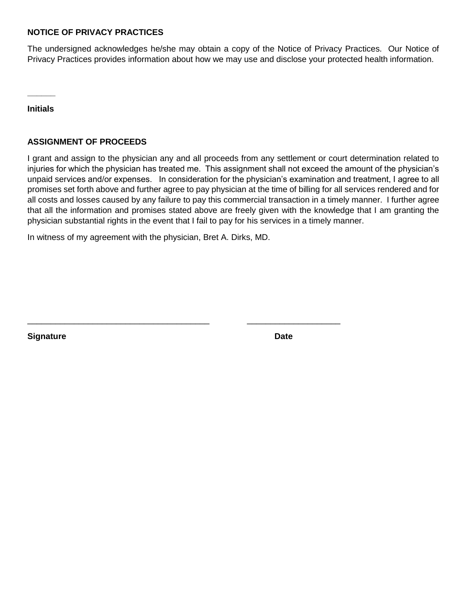### **NOTICE OF PRIVACY PRACTICES**

The undersigned acknowledges he/she may obtain a copy of the Notice of Privacy Practices. Our Notice of Privacy Practices provides information about how we may use and disclose your protected health information.

**Initials**

**\_\_\_\_\_\_**

## **ASSIGNMENT OF PROCEEDS**

I grant and assign to the physician any and all proceeds from any settlement or court determination related to injuries for which the physician has treated me. This assignment shall not exceed the amount of the physician's unpaid services and/or expenses. In consideration for the physician's examination and treatment, I agree to all promises set forth above and further agree to pay physician at the time of billing for all services rendered and for all costs and losses caused by any failure to pay this commercial transaction in a timely manner. I further agree that all the information and promises stated above are freely given with the knowledge that I am granting the physician substantial rights in the event that I fail to pay for his services in a timely manner.

In witness of my agreement with the physician, Bret A. Dirks, MD.

\_\_\_\_\_\_\_\_\_\_\_\_\_\_\_\_\_\_\_\_\_\_\_\_\_\_\_\_\_\_\_\_\_\_\_\_\_\_\_ \_\_\_\_\_\_\_\_\_\_\_\_\_\_\_\_\_\_\_\_

**Signature Date**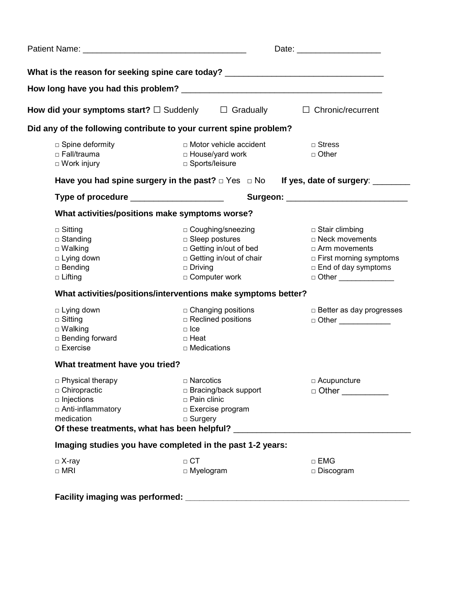|                                                                                                  | What is the reason for seeking spine care today? _______________________________                                                          |                                                                                                                                                       |  |  |  |
|--------------------------------------------------------------------------------------------------|-------------------------------------------------------------------------------------------------------------------------------------------|-------------------------------------------------------------------------------------------------------------------------------------------------------|--|--|--|
|                                                                                                  |                                                                                                                                           |                                                                                                                                                       |  |  |  |
|                                                                                                  | How did your symptoms start? $\square$ Suddenly $\square$ Gradually $\square$ Chronic/recurrent                                           |                                                                                                                                                       |  |  |  |
|                                                                                                  | Did any of the following contribute to your current spine problem?                                                                        |                                                                                                                                                       |  |  |  |
| □ Spine deformity<br>□ Fall/trauma<br>$\Box$ Work injury                                         | $\Box$ Motor vehicle accident<br>□ House/yard work<br>□ Sports/leisure                                                                    | $\sqcap$ Stress<br>$\Box$ Other                                                                                                                       |  |  |  |
|                                                                                                  |                                                                                                                                           |                                                                                                                                                       |  |  |  |
| Type of procedure ______________________<br>Surgeon: ________________________________            |                                                                                                                                           |                                                                                                                                                       |  |  |  |
| What activities/positions make symptoms worse?                                                   |                                                                                                                                           |                                                                                                                                                       |  |  |  |
| $\Box$ Sitting<br>□ Standing<br>$\square$ Walking<br>□ Lying down<br>□ Bending<br>$\Box$ Lifting | □ Coughing/sneezing<br>$\Box$ Sleep postures<br>□ Getting in/out of bed<br>□ Getting in/out of chair<br>$\Box$ Driving<br>□ Computer work | $\Box$ Stair climbing<br>□ Neck movements<br>□ Arm movements<br>$\Box$ First morning symptoms<br>$\Box$ End of day symptoms<br>□ Other ______________ |  |  |  |
|                                                                                                  | What activities/positions/interventions make symptoms better?                                                                             |                                                                                                                                                       |  |  |  |
| □ Lying down<br>$\Box$ Sitting<br>$\square$ Walking<br>□ Bending forward<br>$\Box$ Exercise      | $\Box$ Changing positions<br>$\Box$ Reclined positions<br>$\Box$ Ice<br>□ Heat<br>$\Box$ Medications                                      | $\Box$ Better as day progresses<br>□ Other _____________                                                                                              |  |  |  |
| What treatment have you tried?                                                                   |                                                                                                                                           |                                                                                                                                                       |  |  |  |
| □ Physical therapy<br>□ Chiropractic<br>$\Box$ Injections<br>□ Anti-inflammatory<br>medication   | □ Narcotics<br>□ Bracing/back support<br>□ Pain clinic<br>□ Exercise program<br>$\Box$ Surgery                                            | □ Acupuncture<br>$\Box$ Other                                                                                                                         |  |  |  |
|                                                                                                  | Imaging studies you have completed in the past 1-2 years:                                                                                 |                                                                                                                                                       |  |  |  |
| $\Box$ X-ray                                                                                     | $\Box$ CT<br>$\Box$ Myelogram                                                                                                             | $\Box$ EMG<br>□ Discogram                                                                                                                             |  |  |  |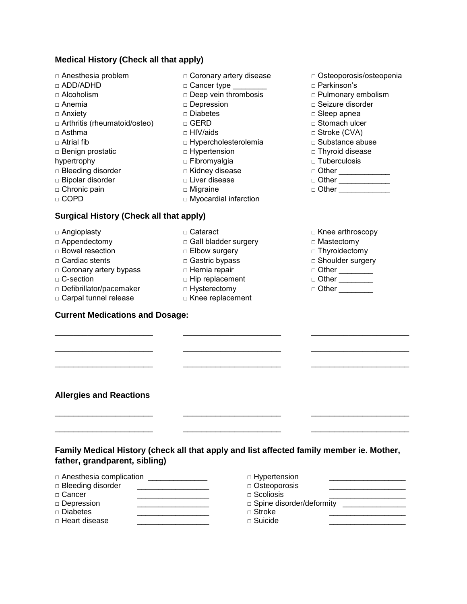## **Medical History (Check all that apply)**

- □ Anesthesia problem
- □ ADD/ADHD
- $\Box$  Alcoholism
- □ Anemia
- □ Anxiety
- □ Arthritis (rheumatoid/osteo)
- $\sqcap$  Asthma
- □ Atrial fib
- □ Benign prostatic
- hypertrophy
- □ Bleeding disorder
- □ Bipolar disorder
- □ Chronic pain
- □ COPD
- □ Coronary artery disease □ Cancer type \_\_\_\_\_\_\_\_
- 
- □ Deep vein thrombosis □ Depression
- □ Diabetes
- □ GERD
- □ HIV/aids
- □ Hypercholesterolemia
- □ Hypertension
- □ Fibromyalgia
- □ Kidney disease
- □ Liver disease
- □ Migraine

□ Cataract

□ Myocardial infarction

□ Gall bladder surgery □ Elbow surgery □ Gastric bypass □ Hernia repair □ Hip replacement □ Hysterectomy □ Knee replacement

# **Surgical History (Check all that apply)**

- □ Angioplasty
- □ Appendectomy
- □ Bowel resection
- □ Cardiac stents
- □ Coronary artery bypass
- □ C-section
- □ Defibrillator/pacemaker
- □ Carpal tunnel release

\_\_\_\_\_\_\_\_\_\_\_\_\_\_\_\_\_\_\_\_\_

\_\_\_\_\_\_\_\_\_\_\_\_\_\_\_\_\_\_\_\_\_

\_\_\_\_\_\_\_\_\_\_\_\_\_\_\_\_\_\_\_\_\_

**Allergies and Reactions** 

\_\_\_\_\_\_\_\_\_\_\_\_\_\_\_\_\_\_\_\_\_

## **Current Medications and Dosage:**

□ Knee arthroscopy

□ Osteoporosis/osteopenia

□ Pulmonary embolism □ Seizure disorder □ Sleep apnea □ Stomach ulcer □ Stroke (CVA) □ Substance abuse □ Thyroid disease □ Tuberculosis □ Other \_\_\_\_\_\_\_\_\_\_\_ □ Other \_\_\_\_\_\_\_\_\_\_\_\_\_\_ □ Other \_\_\_\_\_\_\_\_\_\_\_\_\_\_

□ Parkinson's

- □ Mastectomy
- □ Thyroidectomy □ Shoulder surgery
- □ Other \_\_\_\_\_\_\_\_
- □ Other \_\_\_\_\_\_\_\_
- $\Box$  Other

\_\_\_\_\_\_\_\_\_\_\_\_\_\_\_\_\_\_\_\_\_

\_\_\_\_\_\_\_\_\_\_\_\_\_\_\_\_\_\_\_\_\_

\_\_\_\_\_\_\_\_\_\_\_\_\_\_\_\_\_\_\_\_\_

\_\_\_\_\_\_\_\_\_\_\_\_\_\_\_\_\_\_\_\_\_

\_\_\_\_\_\_\_\_\_\_\_\_\_\_\_\_\_\_\_\_\_

\_\_\_\_\_\_\_\_\_\_\_\_\_\_\_\_\_\_\_\_\_ \_\_\_\_\_\_\_\_\_\_\_\_\_\_\_\_\_\_\_\_\_

**Family Medical History (check all that apply and list affected family member ie. Mother, father, grandparent, sibling)**

\_\_\_\_\_\_\_\_\_\_\_\_\_\_\_\_\_\_\_\_\_

\_\_\_\_\_\_\_\_\_\_\_\_\_\_\_\_\_\_\_\_\_

\_\_\_\_\_\_\_\_\_\_\_\_\_\_\_\_\_\_\_\_\_

\_\_\_\_\_\_\_\_\_\_\_\_\_\_\_\_\_\_\_\_\_

- □ Anesthesia complication \_\_\_\_\_\_\_\_\_\_\_\_\_\_
- □ Bleeding disorder \_\_\_\_\_\_\_\_\_\_\_\_\_\_\_\_\_\_\_\_\_  $\Box$  Cancer
- □ Depression
- □ Diabetes \_\_\_\_\_\_\_\_\_\_\_\_\_\_\_\_\_
- $\Box$  Heart disease

□ Hypertension □ Osteoporosis \_\_\_\_\_\_\_\_\_\_\_\_\_\_\_\_\_\_  $\Box$  Scoliosis □ Spine disorder/deformity \_\_\_\_\_\_\_\_\_\_\_\_\_\_\_  $\Box$  Stroke  $\Box$  Suicide